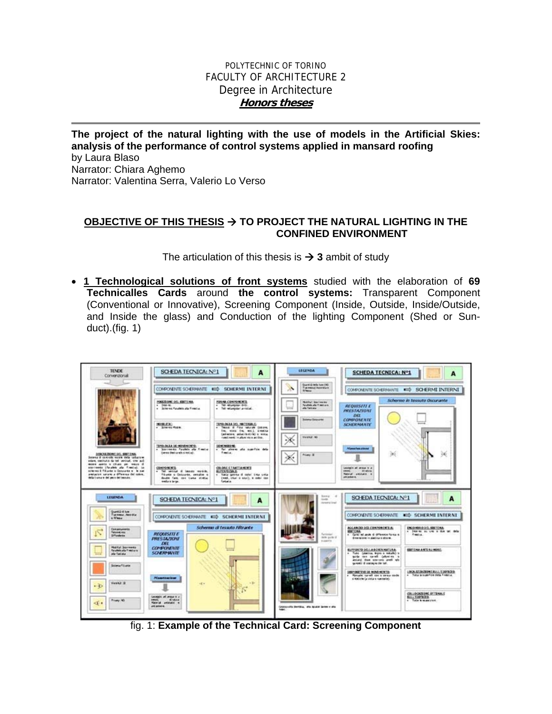### POLYTECHNIC OF TORINO FACULTY OF ARCHITECTURE 2 Degree in Architecture **Honors theses**

**The project of the natural lighting with the use of models in the Artificial Skies: analysis of the performance of control systems applied in mansard roofing**  by Laura Blaso Narrator: Chiara Aghemo Narrator: Valentina Serra, Valerio Lo Verso

#### OBJECTIVE OF THIS THESIS  $\rightarrow$  TO PROJECT THE NATURAL LIGHTING IN THE **CONFINED ENVIRONMENT**

The articulation of this thesis is  $\rightarrow$  3 ambit of study

• **1 Technological solutions of front systems** studied with the elaboration of **69 Technicalles Cards** around **the control systems:** Transparent Component (Conventional or Innovative), Screening Component (Inside, Outside, Inside/Outside, and Inside the glass) and Conduction of the lighting Component (Shed or Sunduct).(fig. 1)



fig. 1: **Example of the Technical Card: Screening Component**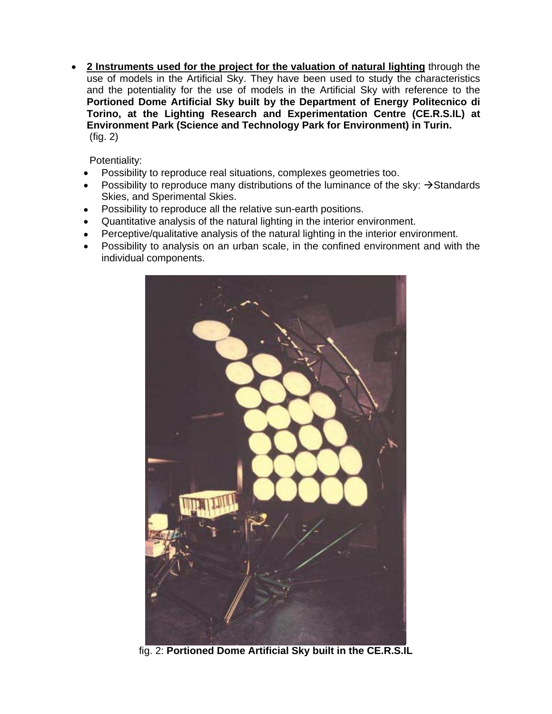• **2 Instruments used for the project for the valuation of natural lighting** through the use of models in the Artificial Sky. They have been used to study the characteristics and the potentiality for the use of models in the Artificial Sky with reference to the **Portioned Dome Artificial Sky built by the Department of Energy Politecnico di Torino, at the Lighting Research and Experimentation Centre (CE.R.S.IL) at Environment Park (Science and Technology Park for Environment) in Turin.** (fig. 2)

Potentiality:

- Possibility to reproduce real situations, complexes geometries too.
- Possibility to reproduce many distributions of the luminance of the sky:  $\rightarrow$  Standards Skies, and Sperimental Skies.
- Possibility to reproduce all the relative sun-earth positions.
- Quantitative analysis of the natural lighting in the interior environment.
- Perceptive/qualitative analysis of the natural lighting in the interior environment.
- Possibility to analysis on an urban scale, in the confined environment and with the individual components.



fig. 2: **Portioned Dome Artificial Sky built in the CE.R.S.IL**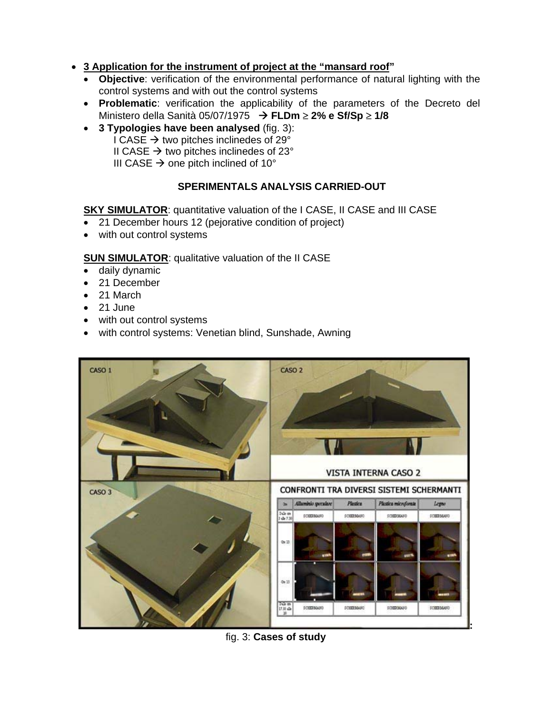## • **3 Application for the instrument of project at the "mansard roof"**

- **Objective**: verification of the environmental performance of natural lighting with the control systems and with out the control systems
- **Problematic**: verification the applicability of the parameters of the Decreto del Ministero della Sanità 05/07/1975 Æ **FLDm** ≥ **2% e Sf/Sp** ≥ **1/8**
- **3 Typologies have been analysed** (fig. 3): I CASE  $\rightarrow$  two pitches inclinedes of 29 $^{\circ}$

II CASE  $\rightarrow$  two pitches inclinedes of 23 $^{\circ}$ 

III CASE  $\rightarrow$  one pitch inclined of 10 $^{\circ}$ 

# **SPERIMENTALS ANALYSIS CARRIED-OUT**

**SKY SIMULATOR:** quantitative valuation of the I CASE, II CASE and III CASE

- 21 December hours 12 (pejorative condition of project)
- with out control systems

**SUN SIMULATOR: qualitative valuation of the II CASE** 

- daily dynamic
- 21 December
- 21 March
- $\bullet$  21 June
- with out control systems
- with control systems: Venetian blind, Sunshade, Awning



# fig. 3: **Cases of study**